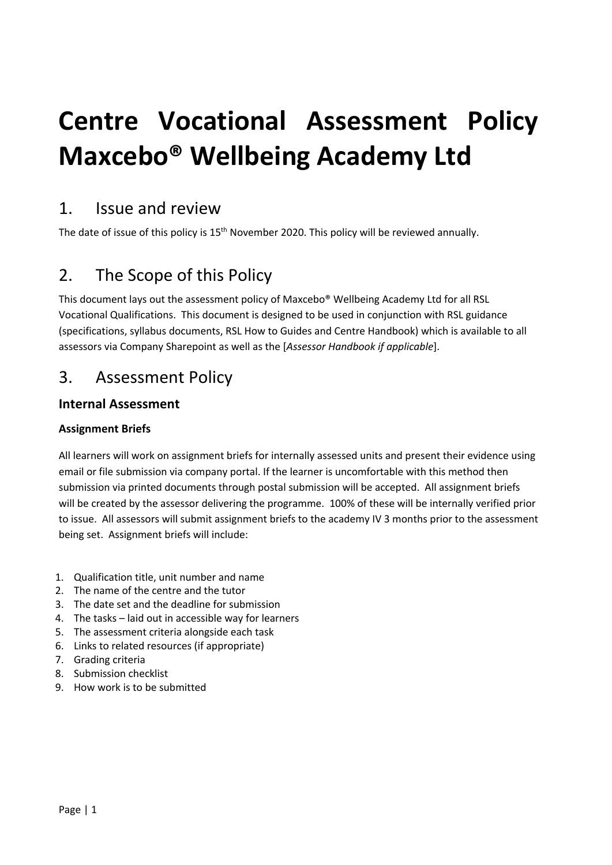# **Centre Vocational Assessment Policy Maxcebo® Wellbeing Academy Ltd**

## 1. Issue and review

The date of issue of this policy is 15<sup>th</sup> November 2020. This policy will be reviewed annually.

# 2. The Scope of this Policy

This document lays out the assessment policy of Maxcebo® Wellbeing Academy Ltd for all RSL Vocational Qualifications. This document is designed to be used in conjunction with RSL guidance (specifications, syllabus documents, RSL How to Guides and Centre Handbook) which is available to all assessors via Company Sharepoint as well as the [*Assessor Handbook if applicable*].

## 3. Assessment Policy

## **Internal Assessment**

### **Assignment Briefs**

All learners will work on assignment briefs for internally assessed units and present their evidence using email or file submission via company portal. If the learner is uncomfortable with this method then submission via printed documents through postal submission will be accepted. All assignment briefs will be created by the assessor delivering the programme. 100% of these will be internally verified prior to issue. All assessors will submit assignment briefs to the academy IV 3 months prior to the assessment being set. Assignment briefs will include:

- 1. Qualification title, unit number and name
- 2. The name of the centre and the tutor
- 3. The date set and the deadline for submission
- 4. The tasks laid out in accessible way for learners
- 5. The assessment criteria alongside each task
- 6. Links to related resources (if appropriate)
- 7. Grading criteria
- 8. Submission checklist
- 9. How work is to be submitted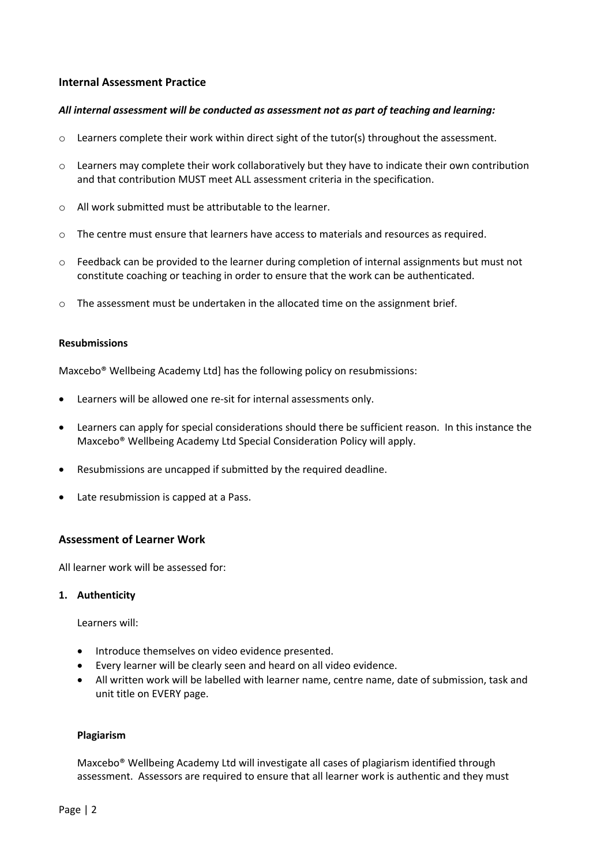#### **Internal Assessment Practice**

#### *All internal assessment will be conducted as assessment not as part of teaching and learning:*

- $\circ$  Learners complete their work within direct sight of the tutor(s) throughout the assessment.
- o Learners may complete their work collaboratively but they have to indicate their own contribution and that contribution MUST meet ALL assessment criteria in the specification.
- o All work submitted must be attributable to the learner.
- o The centre must ensure that learners have access to materials and resources as required.
- $\circ$  Feedback can be provided to the learner during completion of internal assignments but must not constitute coaching or teaching in order to ensure that the work can be authenticated.
- $\circ$  The assessment must be undertaken in the allocated time on the assignment brief.

#### **Resubmissions**

Maxcebo® Wellbeing Academy Ltd] has the following policy on resubmissions:

- Learners will be allowed one re-sit for internal assessments only.
- Learners can apply for special considerations should there be sufficient reason. In this instance the Maxcebo® Wellbeing Academy Ltd Special Consideration Policy will apply.
- Resubmissions are uncapped if submitted by the required deadline.
- Late resubmission is capped at a Pass.

#### **Assessment of Learner Work**

All learner work will be assessed for:

#### **1. Authenticity**

Learners will:

- Introduce themselves on video evidence presented.
- Every learner will be clearly seen and heard on all video evidence.
- All written work will be labelled with learner name, centre name, date of submission, task and unit title on EVERY page.

#### **Plagiarism**

Maxcebo® Wellbeing Academy Ltd will investigate all cases of plagiarism identified through assessment. Assessors are required to ensure that all learner work is authentic and they must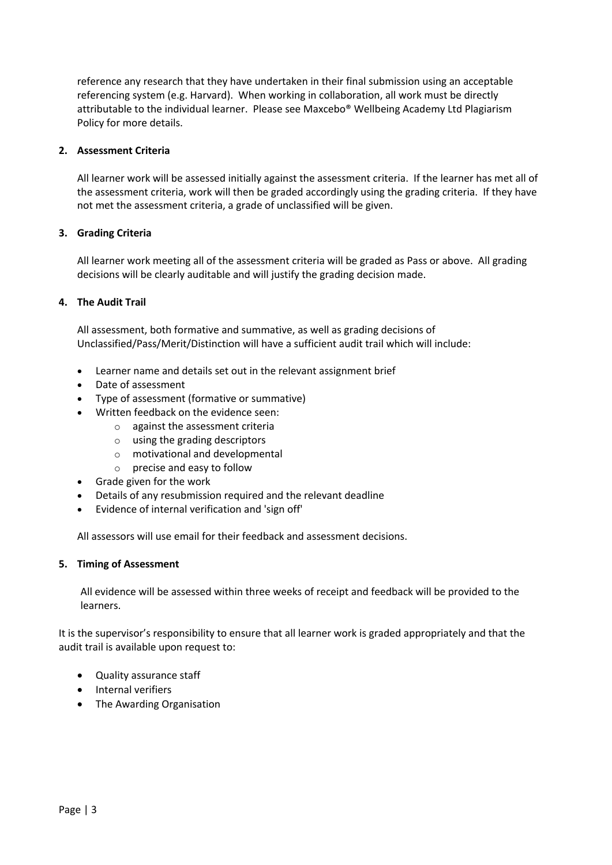reference any research that they have undertaken in their final submission using an acceptable referencing system (e.g. Harvard). When working in collaboration, all work must be directly attributable to the individual learner. Please see Maxcebo® Wellbeing Academy Ltd Plagiarism Policy for more details.

#### **2. Assessment Criteria**

All learner work will be assessed initially against the assessment criteria. If the learner has met all of the assessment criteria, work will then be graded accordingly using the grading criteria. If they have not met the assessment criteria, a grade of unclassified will be given.

#### **3. Grading Criteria**

All learner work meeting all of the assessment criteria will be graded as Pass or above. All grading decisions will be clearly auditable and will justify the grading decision made.

#### **4. The Audit Trail**

All assessment, both formative and summative, as well as grading decisions of Unclassified/Pass/Merit/Distinction will have a sufficient audit trail which will include:

- Learner name and details set out in the relevant assignment brief
- Date of assessment
- Type of assessment (formative or summative)
- Written feedback on the evidence seen:
	- o against the assessment criteria
	- o using the grading descriptors
	- o motivational and developmental
	- $\circ$  precise and easy to follow
- Grade given for the work
- Details of any resubmission required and the relevant deadline
- Evidence of internal verification and 'sign off'

All assessors will use email for their feedback and assessment decisions.

#### **5. Timing of Assessment**

All evidence will be assessed within three weeks of receipt and feedback will be provided to the learners.

It is the supervisor's responsibility to ensure that all learner work is graded appropriately and that the audit trail is available upon request to:

- Quality assurance staff
- Internal verifiers
- The Awarding Organisation